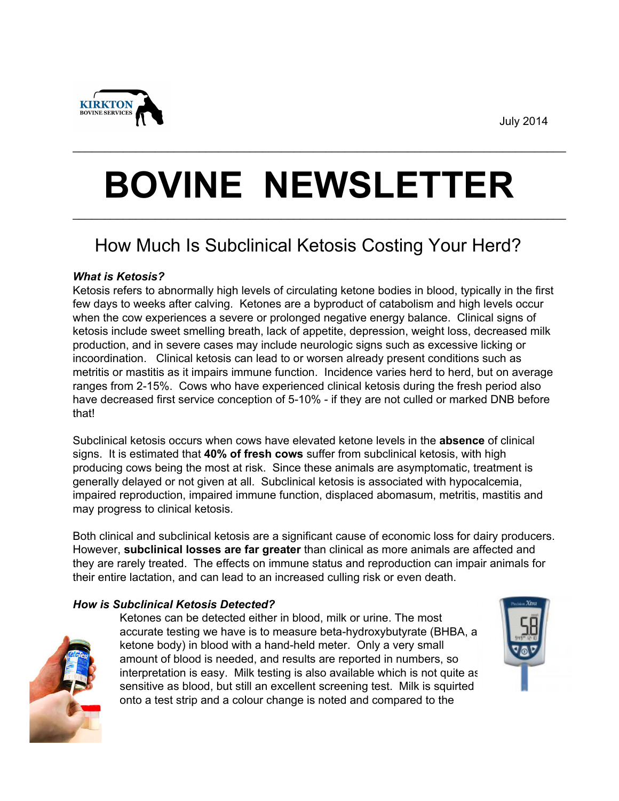July 2014



# **BOVINE NEWSLETTER** \_\_\_\_\_\_\_\_\_\_\_\_\_\_\_\_\_\_\_\_\_\_\_\_\_\_\_\_\_\_\_\_\_\_\_\_\_\_\_\_\_\_\_\_\_\_\_\_\_\_\_\_\_\_\_\_\_\_\_\_\_\_\_\_\_\_\_\_\_\_\_\_\_\_\_\_\_\_

\_\_\_\_\_\_\_\_\_\_\_\_\_\_\_\_\_\_\_\_\_\_\_\_\_\_\_\_\_\_\_\_\_\_\_\_\_\_\_\_\_\_\_\_\_\_\_\_\_\_\_\_\_\_\_\_\_\_\_\_\_\_\_\_\_\_\_\_\_\_\_\_\_\_\_\_\_\_

# How Much Is Subclinical Ketosis Costing Your Herd?

## *What is Ketosis?*

Ketosis refers to abnormally high levels of circulating ketone bodies in blood, typically in the first few days to weeks after calving. Ketones are a byproduct of catabolism and high levels occur when the cow experiences a severe or prolonged negative energy balance. Clinical signs of ketosis include sweet smelling breath, lack of appetite, depression, weight loss, decreased milk production, and in severe cases may include neurologic signs such as excessive licking or incoordination. Clinical ketosis can lead to or worsen already present conditions such as metritis or mastitis as it impairs immune function. Incidence varies herd to herd, but on average ranges from 2-15%. Cows who have experienced clinical ketosis during the fresh period also have decreased first service conception of 5-10% - if they are not culled or marked DNB before that!

Subclinical ketosis occurs when cows have elevated ketone levels in the **absence** of clinical signs. It is estimated that **40% of fresh cows** suffer from subclinical ketosis, with high producing cows being the most at risk. Since these animals are asymptomatic, treatment is generally delayed or not given at all. Subclinical ketosis is associated with hypocalcemia, impaired reproduction, impaired immune function, displaced abomasum, metritis, mastitis and may progress to clinical ketosis.

Both clinical and subclinical ketosis are a significant cause of economic loss for dairy producers. However, **subclinical losses are far greater** than clinical as more animals are affected and they are rarely treated. The effects on immune status and reproduction can impair animals for their entire lactation, and can lead to an increased culling risk or even death.

### *How is Subclinical Ketosis Detected?*

Ketones can be detected either in blood, milk or urine. The most accurate testing we have is to measure beta-hydroxybutyrate (BHBA, a ketone body) in blood with a hand-held meter. Only a very small amount of blood is needed, and results are reported in numbers, so interpretation is easy. Milk testing is also available which is not quite as sensitive as blood, but still an excellent screening test. Milk is squirted onto a test strip and a colour change is noted and compared to the